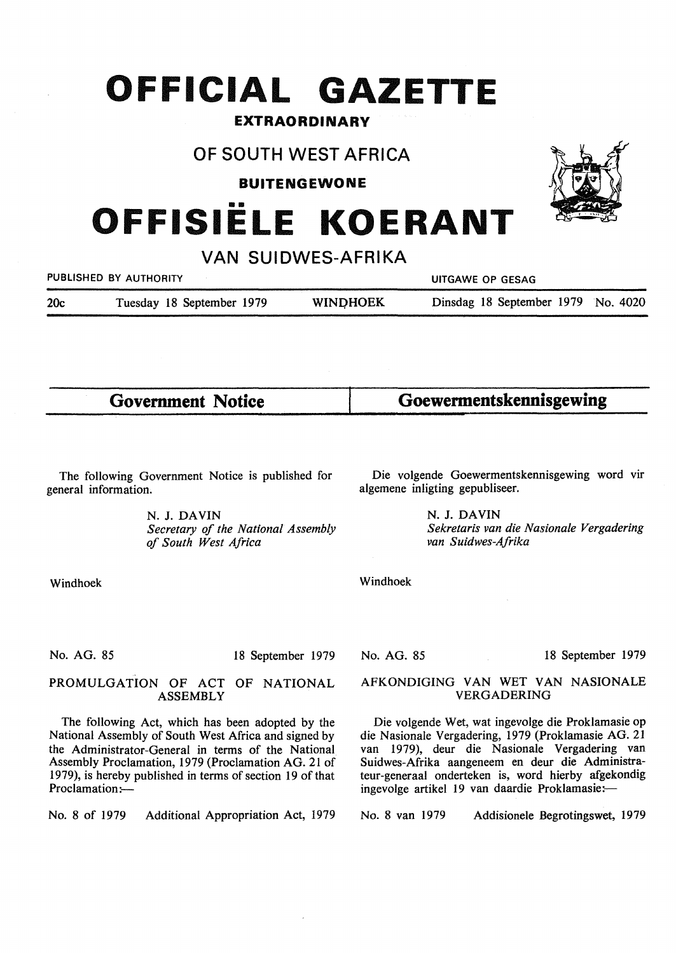# **OFFICIAL GAZETTE**

# **EXTRAORDINARY**

# **OF SOUTH WEST AFRICA**

**BUITENGEWONE** 

•• **OFFISIELE KOERANT** 

**VAN SUIDWES-AFRIKA** 

| PUBLISHED BY AUTHORITY |  |                           |  |                 | UITGAWE OP GESAG |  |                                    |  |  |  |
|------------------------|--|---------------------------|--|-----------------|------------------|--|------------------------------------|--|--|--|
| 20c                    |  | Tuesday 18 September 1979 |  | <b>WINDHOEK</b> |                  |  | Dinsdag 18 September 1979 No. 4020 |  |  |  |

**Government Notice** 

The following Government Notice is published for

N. J. **DAVIN** 

Die volgende Goewermentskennisgewing word vir algemene inligting gepubliseer.

**Goewermentskennisgewing** 

N. J. **DAVIN**  *Sekretaris van die Nasionale Vergadering van Suidwes-Afrika* 

Windhoek

general information.

No. AG. 85

18 September 1979

# PROMULGATION OF ACT OF NATIONAL ASSEMBLY

The following Act, which has been adopted by the National Assembly of South West Africa and signed by the Administrator-General in terms of the National Assembly Proclamation, 1979 (Proclamation AG. 21 of 1979), is hereby published in terms of section 19 of that Proclamation:-

No. 8 of 1979 Additional Appropriation Act, 1979

No. AG. 85

#### 18 September 1979

# AFKONDIGING VAN WET VAN NASIONALE VERGADERING

Die volgende Wet, wat ingevolge die Proklamasie op die Nasionale Vergadering, 1979 (Proklamasie AG. 21 van 1979), deur die Nasionale Vergadering van Suidwes-Afrika aangeneem en deur die Administrateur-generaal onderteken is, word hierby afgekondig ingevolge artikel 19 van daardie Proklamasie:-

No. 8 van 1979 Addisionele Begrotingswet, 1979



Windhoek

*of South West Africa* 

*Secretary of the National Assembly*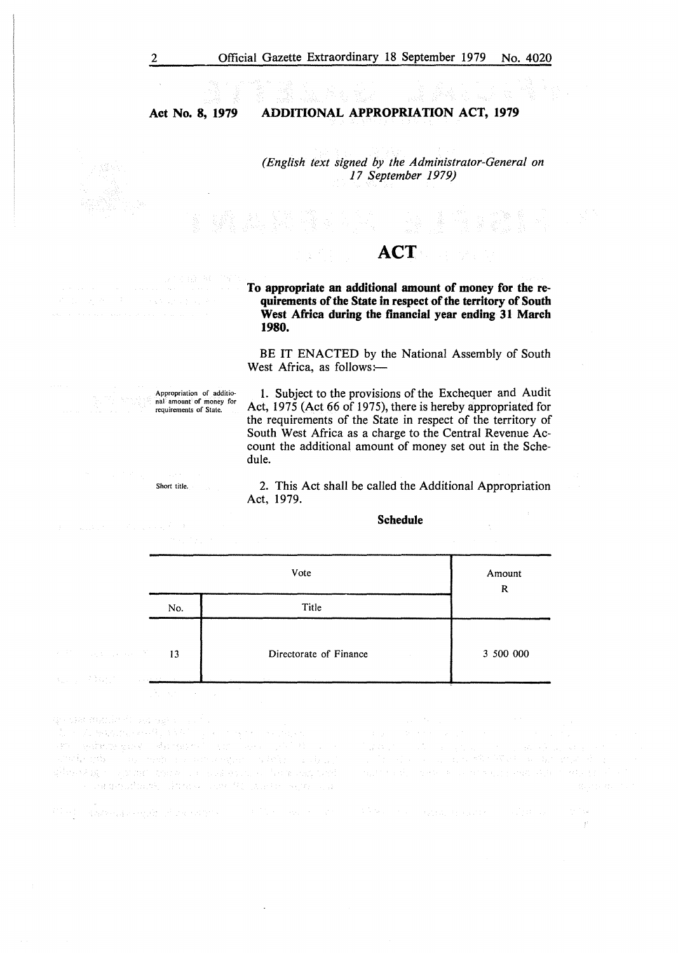**Act No. 8, 1979 ADDITIONAL APPROPRIATION ACT, 1979** 

> *(English text signed by the Administrator-Genera/ on 17 September 1979)*

bu.

# **ACT**

**To appropriate an additional amount of money for the requirements of the State in respect of the territory of South West Africa during the financial year ending 31 March 1980.** 

BE IT ENACTED by the National Assembly of South West Africa, as follows:-

Appropriation of additio-nal amount of money for requirements of State.

1. Subject to the provisions of the Exchequer and Audit Act, 1975 (Act 66 of 1975), there is hereby appropriated for the requirements of the State in respect of the territory of South West Africa as a charge to the Central Revenue Account the additional amount of money set out in the Schedule.

Short title.

 $\label{eq:1} \mathcal{L}_{\text{max}}(\mathcal{L}_{\text{max}}(\mathbf{y}^{\text{max}}), \mathbf{y}^{\text{max}}) = \mathcal{L}_{\text{max}}(\mathbf{y}^{\text{max}}), \mathbf{y}^{\text{max}}) = \mathcal{L}_{\text{max}}(\mathbf{y}^{\text{max}}), \mathbf{y}^{\text{max}})$ 

医全身 的复数医的

2. This Act shall be called the Additional Appropriation Act, 1979.

### **Schedule**

|                                                                              | a ta 1999 - An t-Alba a t-Alba a t-Alba.<br>An t-Alba an t-Alba a t-Alba a t-Alba a t-Alba a t-Alba a t-Alba a t-Alba a t-Alba a t-Alba a t-Alba a t-Alba | the company of the company of<br>Amount<br>R |           |  |  |
|------------------------------------------------------------------------------|-----------------------------------------------------------------------------------------------------------------------------------------------------------|----------------------------------------------|-----------|--|--|
|                                                                              |                                                                                                                                                           |                                              |           |  |  |
|                                                                              | No.                                                                                                                                                       | Title                                        |           |  |  |
| $\mathcal{P}^{(12)}$ , and the constant $\mathcal{P}^{(12)}$ , $\mathbf{13}$ |                                                                                                                                                           | Directorate of Finance                       | 3 500 000 |  |  |
| 医血管 经数据<br>control and a stricted                                            | The company of the company                                                                                                                                | <b>Contractor</b>                            |           |  |  |

ge van minde (volg agent).<br>The Choranness of Alexandra component van .<br>Het Charles past Caranness of the Chemical Oriental 

film) – dagona kongris vivod nastav († 1913.) – na 1913. v 1913.

最高级 人名

ing Trip ģ.